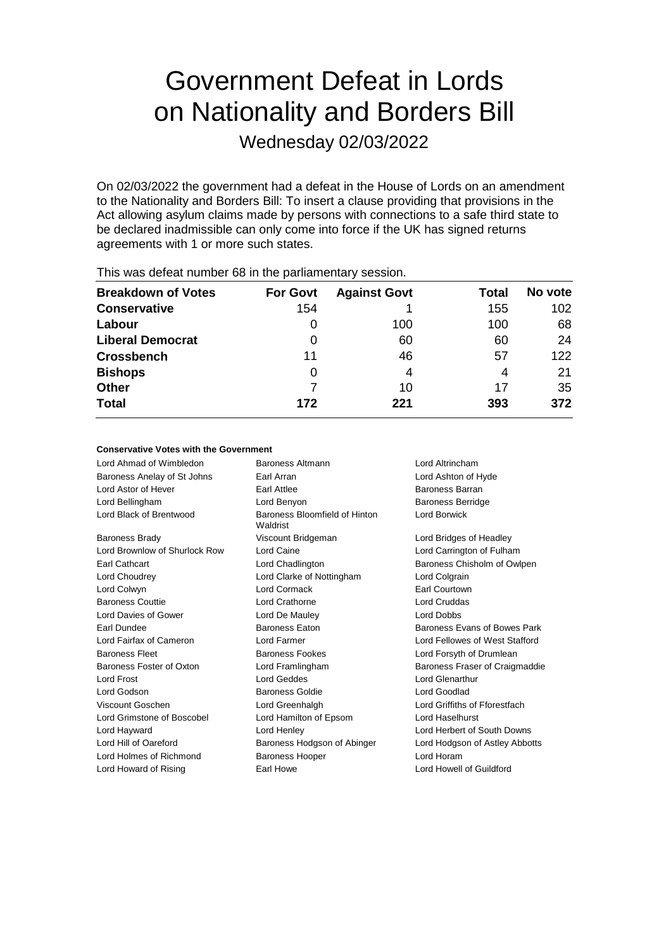# Government Defeat in Lords on Nationality and Borders Bill

Wednesday 02/03/2022

On 02/03/2022 the government had a defeat in the House of Lords on an amendment to the Nationality and Borders Bill: To insert a clause providing that provisions in the Act allowing asylum claims made by persons with connections to a safe third state to be declared inadmissible can only come into force if the UK has signed returns agreements with 1 or more such states.

| <b>Breakdown of Votes</b> | <b>For Govt</b> | <b>Against Govt</b> | Total | No vote |
|---------------------------|-----------------|---------------------|-------|---------|
| <b>Conservative</b>       | 154             |                     | 155   | 102     |
| Labour                    | O               | 100                 | 100   | 68      |
| <b>Liberal Democrat</b>   | 0               | 60                  | 60    | 24      |
| <b>Crossbench</b>         | 11              | 46                  | 57    | 122     |
| <b>Bishops</b>            | 0               | 4                   | 4     | 21      |
| <b>Other</b>              |                 | 10                  | 17    | 35      |
| <b>Total</b>              | 172             | 221                 | 393   | 372     |
|                           |                 |                     |       |         |

This was defeat number 68 in the parliamentary session.

### **Conservative Votes with the Government**

| Lord Ahmad of Wimbledon       | Baroness Altmann<br>Lord Altrincham       |                                |  |
|-------------------------------|-------------------------------------------|--------------------------------|--|
| Baroness Anelay of St Johns   | Earl Arran                                | Lord Ashton of Hyde            |  |
| Lord Astor of Hever           | <b>Earl Attlee</b>                        | <b>Baroness Barran</b>         |  |
| Lord Bellingham               | Lord Benyon                               | <b>Baroness Berridge</b>       |  |
| Lord Black of Brentwood       | Baroness Bloomfield of Hinton<br>Waldrist | <b>Lord Borwick</b>            |  |
| <b>Baroness Brady</b>         | Viscount Bridgeman                        | Lord Bridges of Headley        |  |
| Lord Brownlow of Shurlock Row | Lord Caine                                | Lord Carrington of Fulham      |  |
| Earl Cathcart                 | Lord Chadlington                          | Baroness Chisholm of Owlpen    |  |
| Lord Choudrey                 | Lord Clarke of Nottingham                 | Lord Colgrain                  |  |
| Lord Colwyn                   | <b>Lord Cormack</b>                       | Earl Courtown                  |  |
| <b>Baroness Couttie</b>       | Lord Crathorne                            | Lord Cruddas                   |  |
| Lord Davies of Gower          | Lord De Mauley                            | Lord Dobbs                     |  |
| Earl Dundee                   | <b>Baroness Eaton</b>                     | Baroness Evans of Bowes Park   |  |
| Lord Fairfax of Cameron       | Lord Farmer                               | Lord Fellowes of West Stafford |  |
| <b>Baroness Fleet</b>         | Baroness Fookes                           | Lord Forsyth of Drumlean       |  |
| Baroness Foster of Oxton      | Lord Framlingham                          | Baroness Fraser of Craigmaddie |  |
| Lord Frost                    | Lord Geddes                               | Lord Glenarthur                |  |
| Lord Godson                   | Baroness Goldie                           | Lord Goodlad                   |  |
| Viscount Goschen              | Lord Greenhalgh                           | Lord Griffiths of Fforestfach  |  |
| Lord Grimstone of Boscobel    | Lord Hamilton of Epsom                    | Lord Haselhurst                |  |
| Lord Hayward                  | Lord Henley                               | Lord Herbert of South Downs    |  |
| Lord Hill of Oareford         | Baroness Hodgson of Abinger               | Lord Hodgson of Astley Abbotts |  |
| Lord Holmes of Richmond       | <b>Baroness Hooper</b>                    | Lord Horam                     |  |
| Lord Howard of Rising         | Earl Howe                                 | Lord Howell of Guildford       |  |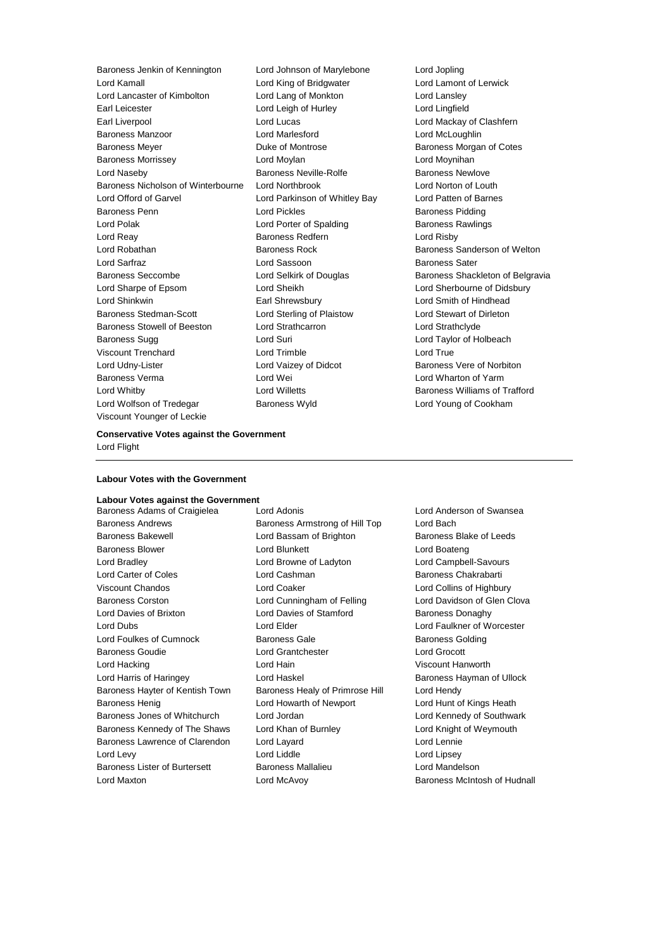Baroness Jenkin of Kennington Lord Johnson of Marylebone Lord Jopling Lord Kamall Lord King of Bridgwater Lord Lamont of Lerwick Lord Lancaster of Kimbolton Lord Lang of Monkton Lord Lansley Earl Leicester Lord Leigh of Hurley Lord Lingfield Earl Liverpool Lord Lucas Lord Mackay of Clashfern Baroness Manzoor **Lord Marlesford** Lord Marlesford Lord McLoughlin Baroness Meyer **Baroness Mortrose** Baroness Morgan of Cotes Baroness Morrissey Lord Moylan Lord Moynihan Lord Naseby **Baroness Neville-Rolfe** Baroness Newlove Baroness Nicholson of Winterbourne Lord Northbrook Lord Norton of Louth Lord Offord of Garvel Lord Parkinson of Whitley Bay Lord Patten of Barnes Baroness Penn Lord Pickles Baroness Pidding Lord Polak **Lord Porter of Spalding Baroness Rawlings** Baroness Rawlings Lord Reay **Baroness Redfern Baroness Redfern Lord Risby** Lord Robathan Baroness Rock Baroness Sanderson of Welton Lord Sarfraz Lord Sassoon Baroness Sater Baroness Seccombe **Lord Selkirk of Douglas** Baroness Shackleton of Belgravia Lord Sharpe of Epsom Lord Sheikh Lord Sherbourne of Didsbury Lord Shinkwin Earl Shrewsbury Lord Smith of Hindhead Baroness Stedman-Scott **Lord Sterling of Plaistow** Lord Stewart of Dirleton<br>
Baroness Stowell of Beeston Lord Strathcarron Lord Strathclyde Baroness Stowell of Beeston Lord Strathcarron Lord Strathclyde Baroness Sugg **Lord Suri** Lord Suri **Lord Taylor of Holbeach** Viscount Trenchard Lord Trimble Lord True Lord Udny-Lister **Lord Vaizey of Didcot** Baroness Vere of Norbiton Baroness Verma Lord Wei Lord Wharton of Yarm Lord Whitby Lord Willetts Baroness Williams of Trafford Lord Wolfson of Tredegar Baroness Wyld Lord Young of Cookham Viscount Younger of Leckie

### **Conservative Votes against the Government** Lord Flight

### **Labour Votes with the Government**

## **Labour Votes against the Government**

Baroness Andrews Baroness Armstrong of Hill Top Lord Bach Baroness Bakewell **Exercise School** Lord Bassam of Brighton **Baroness Bake of Leeds** Baroness Blower Lord Blunkett Lord Boateng Lord Bradley Lord Browne of Ladyton Lord Campbell-Savours Lord Carter of Coles **Lord Cashman** Baroness Chakrabarti Viscount Chandos Lord Coaker Lord Collins of Highbury Baroness Corston Lord Cunningham of Felling Lord Davidson of Glen Clova Lord Davies of Brixton Lord Davies of Stamford Baroness Donaghy Lord Dubs Lord Elder Lord Faulkner of Worcester Lord Foulkes of Cumnock **Baroness Gale** Baroness Golding Baroness Golding Baroness Goudie Lord Grantchester Lord Grocott Lord Hacking Lord Hain Viscount Hanworth Lord Harris of Haringey **Lord Haskel Communist Communist Communist Communist Communist Communist Communist Communist Communist Communist Communist Communist Communist Communist Communist Communist Communist Communist Commu** Baroness Hayter of Kentish Town Baroness Healy of Primrose Hill Lord Hendy Baroness Henig **Lord Howarth of Newport** Lord Hunt of Kings Heath Baroness Jones of Whitchurch Lord Jordan Lord Kennedy of Southwark Baroness Kennedy of The Shaws Lord Khan of Burnley Lord Knight of Weymouth Baroness Lawrence of Clarendon Lord Layard Lord Lennie Lord Levy **Lord Liddle** Lord Liddle **Lord Light** Lord Lipsey Baroness Lister of Burtersett **Baroness Mallalieu Baroness Mallalieu** Lord Mandelson

Baroness Adams of Craigielea Lord Adonis Lord Anderson of Swansea Lord Maxton **Lord McAvoy Baroness McIntosh of Hudnall** Lord McAvoy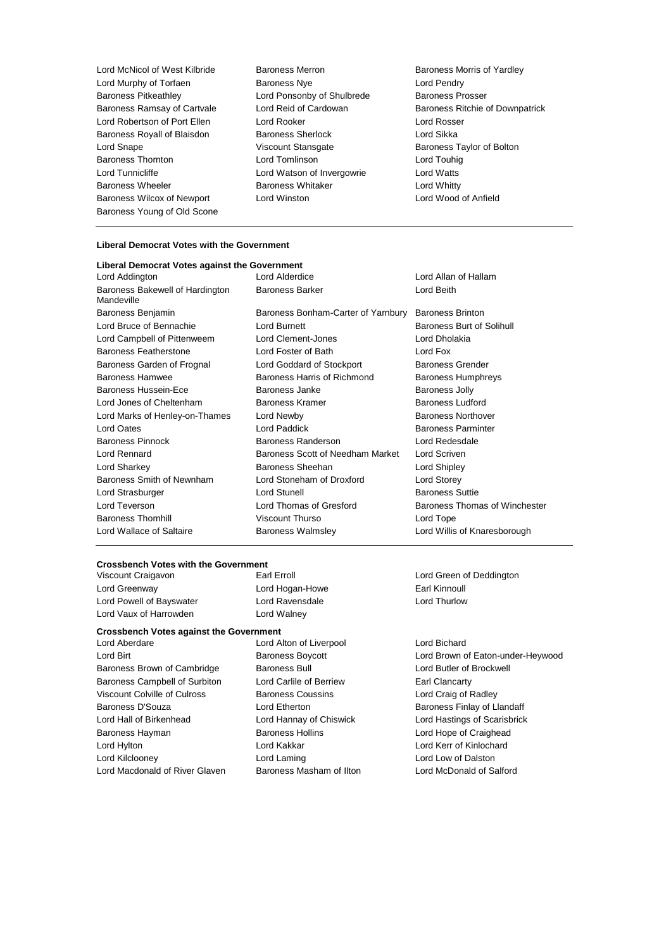Lord McNicol of West Kilbride Baroness Merron Baroness Morris of Yardley Lord Murphy of Torfaen **Baroness Nye Lord Pendry** Lord Pendry Baroness Pitkeathley **Lord Ponsonby of Shulbrede** Baroness Prosser Lord Robertson of Port Ellen Lord Rooker Lord Rosser Baroness Royall of Blaisdon Baroness Sherlock Lord Sikka Lord Snape Viscount Stansgate Baroness Taylor of Bolton Baroness Thornton **Lord Tomlinson** Lord Touhig Lord Tunnicliffe **Lord Watson of Invergowrie** Lord Watts Baroness Wheeler **Baroness Whitaker** Lord Whitty Baroness Wilcox of Newport Lord Winston Lord Wood of Anfield Baroness Young of Old Scone

### **Liberal Democrat Votes with the Government Liberal Democrat Votes against the Government** Lord Addington Lord Alderdice Lord Allan of Hallam Baroness Bakewell of Hardington Mandeville Baroness Barker **Lord Beith** Baroness Benjamin Baroness Bonham-Carter of Yarnbury Baroness Brinton Lord Bruce of Bennachie **Lord Burnett** Lord Burnett **Baroness Burt of Solihull** Lord Campbell of Pittenweem Lord Clement-Jones Lord Dholakia Baroness Featherstone Lord Foster of Bath Lord Fox Baroness Garden of Frognal Lord Goddard of Stockport Baroness Grender Baroness Hamwee Baroness Harris of Richmond Baroness Humphreys Baroness Hussein-Ece **Baroness** Janke Baroness Janke Baroness Jolly Lord Jones of Cheltenham **Baroness Kramer** Baroness Ludford Lord Marks of Henley-on-Thames Lord Newby **Baroness Northover** Baroness Northover Lord Oates **Lord Paddick** Baroness Parminter Baroness Pinnock Baroness Randerson Lord Redesdale Lord Rennard Baroness Scott of Needham Market Lord Scriven Lord Sharkey Baroness Sheehan Lord Shipley Baroness Smith of Newnham Lord Stoneham of Droxford Lord Storey Lord Strasburger Lord Stunell Baroness Suttie Lord Teverson **Lord Thomas of Gresford** Baroness Thomas of Winchester Baroness Thornhill Viscount Thurso Lord Tope Lord Wallace of Saltaire **Baroness Walmsley Lord Willis of Knaresborough** Lord Willis of Knaresborough

# **Crossbench Votes with the Government<br>Viscount Craigavon Farl Erroll**

Lord Greenway **Lord Hogan-Howe Earl Kinnoull** Lord Powell of Bayswater Lord Ravensdale Lord Thurlow Lord Vaux of Harrowden Lord Walney

### **Crossbench Votes against the Government**

Baroness Brown of Cambridge Baroness Bull Baroness Bull Lord Butler of Brockwell Baroness Campbell of Surbiton Lord Carlile of Berriew Earl Clancarty Viscount Colville of Culross Baroness Coussins Lord Craig of Radley Baroness D'Souza **March 2008** Lord Etherton **Baroness Finlay of Llandaff** Lord Hall of Birkenhead Lord Hannay of Chiswick Lord Hastings of Scarisbrick Baroness Hayman **Baroness Hollins** Lord Hope of Craighead Lord Hylton Lord Kakkar Lord Kerr of Kinlochard Lord Kilclooney Lord Laming Lord Low of Dalston Lord Macdonald of River Glaven Baroness Masham of Ilton Lord McDonald of Salford

Lord Aberdare Lord Alton of Liverpool Lord Bichard

Baroness Ramsay of Cartvale Lord Reid of Cardowan Baroness Ritchie of Downpatrick

Viscount Craigavon **Earl Erroll** Earl Erroll **Example 20** Lord Green of Deddington

Lord Birt Baroness Boycott Lord Brown of Eaton-under-Heywood